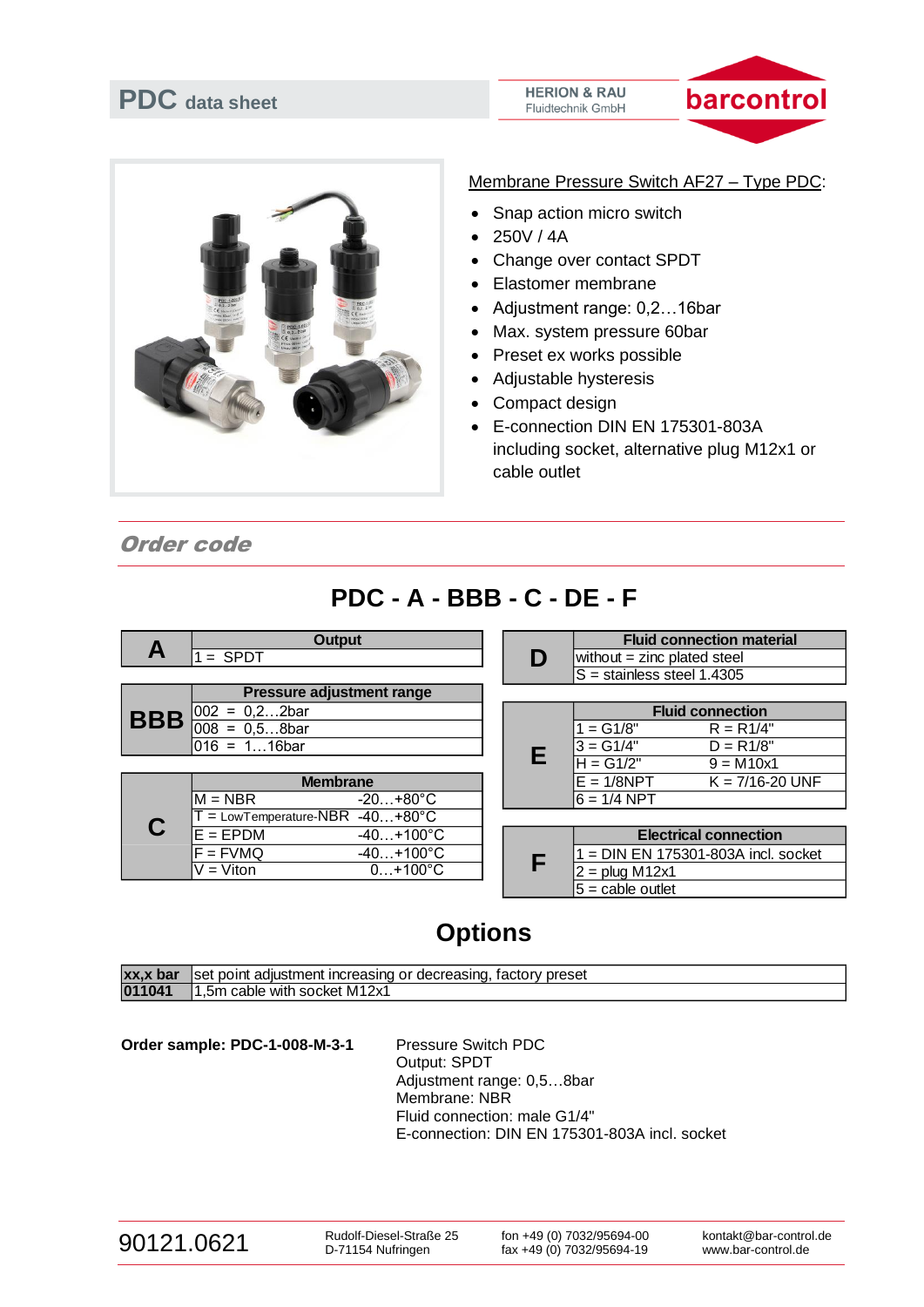



Membrane Pressure Switch AF27 – Type PDC:

- Snap action micro switch
- $250V / 4A$
- Change over contact SPDT
- Elastomer membrane
- Adjustment range: 0,2…16bar
- Max. system pressure 60bar
- Preset ex works possible
- Adjustable hysteresis
- Compact design
- E-connection DIN EN 175301-803A including socket, alternative plug M12x1 or cable outlet

Order code

## **PDC - A - BBB - C - DE - F**

|            |                                  | <b>Output</b>                    |  |   |                                         | <b>Fluid connection material</b>  |
|------------|----------------------------------|----------------------------------|--|---|-----------------------------------------|-----------------------------------|
| Α          | $=$ SPDT                         |                                  |  | D | without $=$ zinc plated steel           |                                   |
|            |                                  |                                  |  |   | $\overline{S}$ = stainless steel 1.4305 |                                   |
|            |                                  | <b>Pressure adjustment range</b> |  |   |                                         |                                   |
| <b>BBB</b> | $002 =$<br>$0,22$ bar            |                                  |  |   | <b>Fluid connection</b>                 |                                   |
|            | $008 = 0,58$ bar                 |                                  |  |   | $=$ G1/8"                               | $R = R1/4"$                       |
|            | $016 = 116$ bar                  |                                  |  |   | $3 = G1/4"$                             | $D = R1/8"$                       |
|            |                                  |                                  |  | Е | $H = G1/2"$                             | $9 = M10x1$                       |
| C          | <b>Membrane</b>                  |                                  |  |   | $E = 1/8NPT$                            | $K = 7/16 - 20$ UNF               |
|            | $M = NBR$                        | $-20+80^{\circ}$ C               |  |   | $6 = 1/4$ NPT                           |                                   |
|            | $=$ LowTemperature-NBR -40+80°C  |                                  |  |   |                                         |                                   |
|            | $E = EPDM$<br>$-40+100^{\circ}C$ |                                  |  |   | <b>Electrical connection</b>            |                                   |
|            | $F = FVMQ$                       | $-40+100^{\circ}C$               |  |   |                                         | = DIN EN 175301-803A incl. socket |
|            | $\overline{V}$ = Viton           | $0+100^{\circ}C$                 |  | F | $2 = plug M12x1$                        |                                   |

|   | $w$ iuou $w = 2$ inc piateg $s$ teen |             |  |  |  |
|---|--------------------------------------|-------------|--|--|--|
|   | S = stainless steel 1.4305           |             |  |  |  |
|   |                                      |             |  |  |  |
|   | <b>Fluid connection</b>              |             |  |  |  |
|   | $1 = G1/8"$                          | $R = R1/4"$ |  |  |  |
|   | l3 = G1/4"                           | $D = R1/8"$ |  |  |  |
| Е | IH = G1/2"                           | $9 = M10x1$ |  |  |  |

| <b>Electrical connection</b>          |  |  |  |  |
|---------------------------------------|--|--|--|--|
| $1 =$ DIN EN 175301-803A incl. socket |  |  |  |  |
| $2 = plug M12x1$                      |  |  |  |  |
| $5 =$ cable outlet                    |  |  |  |  |

## **Options**

| xx,x bar | i adiustment increasing or decreasing. '<br>factory preset<br>Iset point |
|----------|--------------------------------------------------------------------------|
| 011041   | 1.5m cable with socket M12x1                                             |

Order sample: PDC-1-008-M-3-1 Pressure Switch PDC Output: SPDT Adjustment range: 0,5…8bar Membrane: NBR Fluid connection: male G1/4" E-connection: DIN EN 175301-803A incl. socket